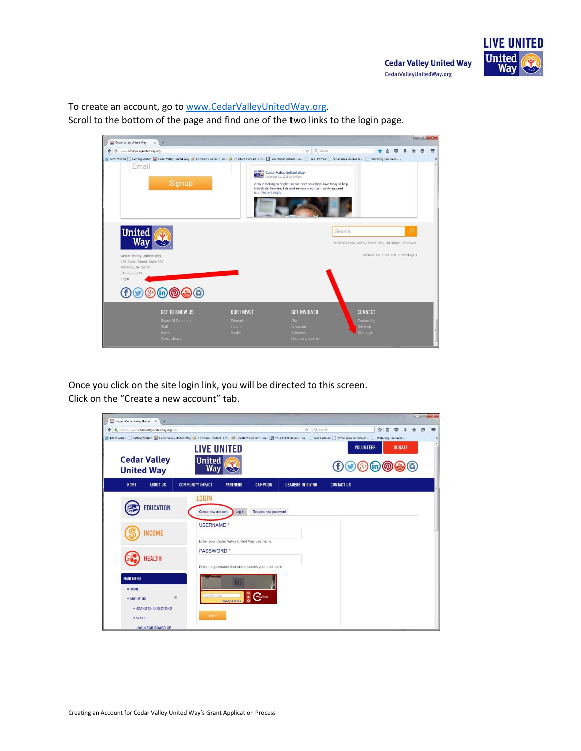To create an account, go to www.CedarValleyUnitedWay.org.

Scroll to the bottom of the page and find one of the two links to the login page.

| Cedar Valley United Way<br>中<br>×                                                                                                                                                                                    |                                                    |                                                                                                                                                                                                                     |                                                                                          | $\longrightarrow$ $\Box$ |          |
|----------------------------------------------------------------------------------------------------------------------------------------------------------------------------------------------------------------------|----------------------------------------------------|---------------------------------------------------------------------------------------------------------------------------------------------------------------------------------------------------------------------|------------------------------------------------------------------------------------------|--------------------------|----------|
| ← ) @ www.cedarvalleyunitedway.org                                                                                                                                                                                   |                                                    | $C$ Q Search                                                                                                                                                                                                        | 白<br>≂                                                                                   |                          | $\equiv$ |
| P Most Visited   Getting Started   Gedar Valley United Way 2 Constant Contact : Em 2 Constant Contact : Em   Your ticket details - Po   Free Hotmail   Small Area Income &   Watering Can Press -<br>Email<br>Signup | http://bit.ly/184tj7v                              | <b>DE Biffs</b> Cedar Valley United Way<br>December 31, 2015 at 1:47pm<br>2016 is looking so bright! But we need your help. Give today to help<br>individuals, families, kids and seniors in our community succeed. |                                                                                          |                          |          |
| <b>United</b><br>Wav<br>Cedar Valley United Way<br>425 Cedar Street, Suite 300<br>Waterloo, IA 50701<br>319-235-6211<br>Login<br>0.000000                                                                            |                                                    | Search                                                                                                                                                                                                              | @ 2016 Cedar Valley United Way, All Rights Reserved.<br>Website by: OneEach Technologies | $\circ$                  |          |
| <b>GET TO KNOW US</b><br><b>Board Of Directors</b><br><b>Staff</b><br><b>News</b><br>Video Library                                                                                                                   | <b>OUR IMPACT</b><br>Education<br>Income<br>Health | <b>GET INVOLVED</b><br>Give<br>Advocate<br>Volunteer<br><b>Upcoming Events</b>                                                                                                                                      | <b>CONNECT</b><br>Contact Us<br>Get Help<br>Site Login                                   |                          |          |

Once you click on the site login link, you will be directed to this screen. Click on the "Create a new account" tab.

| Login   Cedar Valley United X                       | ÷                                                 |                                                                                                                                                                                                      |                                              |                                                    |                             |                   |                  |               |          |
|-----------------------------------------------------|---------------------------------------------------|------------------------------------------------------------------------------------------------------------------------------------------------------------------------------------------------------|----------------------------------------------|----------------------------------------------------|-----------------------------|-------------------|------------------|---------------|----------|
|                                                     | https://www.cedarvalleyunitedway.org/user         | P Most Visited [ Getting Started   Cedar Valley United Way   Constant Contact : Em   Constant Contact : Em   2 Your ticket details - Po   Free Hotmail   Small Area Income &    Watering Can Press - |                                              |                                                    | Q Search<br>$\mathcal{C}^t$ |                   | ☆<br>自           | lv            | $\equiv$ |
| <b>United Way</b>                                   | <b>Cedar Valley</b>                               | <b>LIVE UNITED</b><br><b>United</b><br>Wav                                                                                                                                                           |                                              |                                                    |                             |                   | <b>VOLUNTEER</b> | <b>DONATE</b> |          |
| HOME                                                | <b>ABOUT US</b>                                   | <b>COMMUNITY IMPACT</b>                                                                                                                                                                              | <b>PARTNERS</b>                              | <b>CAMPAIGN</b>                                    | <b>LEADERS IN GIVING</b>    | <b>CONTACT US</b> |                  |               |          |
|                                                     | <b>EDUCATION</b>                                  | <b>LOGIN</b><br>Create new account                                                                                                                                                                   | Log in                                       | Request new password                               |                             |                   |                  |               |          |
|                                                     | <b>INCOME</b>                                     | USERNAME <sup>*</sup>                                                                                                                                                                                | Enter your Cedar Valley United Way username. |                                                    |                             |                   |                  |               |          |
|                                                     | <b>HEALTH</b>                                     | <b>PASSWORD</b> *                                                                                                                                                                                    |                                              | Enter the password that accompanies your username. |                             |                   |                  |               |          |
| <b>MAIN MENU</b><br>» HOME<br>» ABOUT US<br>» STAFF | » BOARD OF DIRECTORS<br><b>LOGIN FOR BOARD OF</b> | ype the text<br>E<br>Log in                                                                                                                                                                          | Privacy & Terms                              | 읚<br><b>CAPTOHA</b>                                |                             |                   |                  |               |          |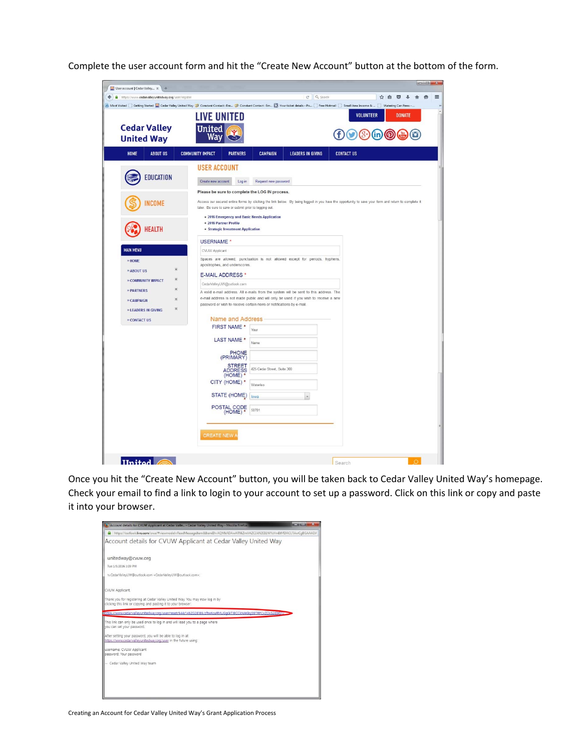Complete the user account form and hit the "Create New Account" button at the bottom of the form.

| User account   Cedar Valley x<br>$+$<br>https://www.cedarvalleyunitedway.org/user/register |                                                                                                                                                              |                             | Q Search<br>$\mathbb{C}^i$ | ☆自<br>$\overline{\mathbf{v}}$                                                                                                                                                              |
|--------------------------------------------------------------------------------------------|--------------------------------------------------------------------------------------------------------------------------------------------------------------|-----------------------------|----------------------------|--------------------------------------------------------------------------------------------------------------------------------------------------------------------------------------------|
|                                                                                            |                                                                                                                                                              |                             |                            | A Most Visited Getting Started & Cedar Valley United Way 2 Constant Contact : Em D Constant Contact : Em N Your ticket details - Po Free Hotmail Small Area Income &  Watering Can Press - |
| <b>Cedar Valley</b><br><b>United Way</b>                                                   | <b>LIVE UNITED</b><br><b>United</b><br>Wа                                                                                                                    |                             |                            | <b>VOLUNTEER</b><br><b>DONATE</b><br>⊕®®®®                                                                                                                                                 |
| <b>ABOUT US</b><br><b>HOME</b>                                                             | <b>COMMUNITY IMPACT</b><br><b>PARTNERS</b>                                                                                                                   | <b>CAMPAIGN</b>             | <b>LEADERS IN GIVING</b>   | <b>CONTACT US</b>                                                                                                                                                                          |
|                                                                                            | <b>USER ACCOUNT</b>                                                                                                                                          |                             |                            |                                                                                                                                                                                            |
| <b>EDUCATION</b>                                                                           | Create new account<br>Log in                                                                                                                                 | Request new password        |                            |                                                                                                                                                                                            |
|                                                                                            | Please be sure to complete the LOG IN process.                                                                                                               |                             |                            |                                                                                                                                                                                            |
| <b>INCOME</b>                                                                              | later. Be sure to save or submit prior to logging out.                                                                                                       |                             |                            | Access our secured online forms by clicking the link below. By being logged in you have the opportunity to save your form and return to complete it                                        |
|                                                                                            | . 2016 Emergency and Basic Needs Application<br>· 2016 Partner Profile                                                                                       |                             |                            |                                                                                                                                                                                            |
| <b>HEALTH</b>                                                                              | • Strategic Investment Application                                                                                                                           |                             |                            |                                                                                                                                                                                            |
|                                                                                            | <b>USERNAME</b>                                                                                                                                              |                             |                            |                                                                                                                                                                                            |
| <b>MAIN MENU</b>                                                                           | CVUW Applicant                                                                                                                                               |                             |                            |                                                                                                                                                                                            |
| » HOME                                                                                     | Spaces are allowed; punctuation is not allowed except for periods, hyphens,<br>apostrophes, and underscores.                                                 |                             |                            |                                                                                                                                                                                            |
| 田<br>» ABOUT US                                                                            | <b>E-MAIL ADDRESS*</b>                                                                                                                                       |                             |                            |                                                                                                                                                                                            |
| E<br>» COMMUNITY IMPACT                                                                    | CedarValleyUW@outlook.com                                                                                                                                    |                             |                            |                                                                                                                                                                                            |
| $\boxed{\blacksquare}$<br>» PARTNERS                                                       | A valid e-mail address. All e-mails from the system will be sent to this address. The                                                                        |                             |                            |                                                                                                                                                                                            |
| $\overline{\bullet}$<br>» CAMPAIGN                                                         | e-mail address is not made public and will only be used if you wish to receive a new<br>password or wish to receive certain news or notifications by e-mail. |                             |                            |                                                                                                                                                                                            |
| $\boxplus$<br>» LEADERS IN GIVING                                                          |                                                                                                                                                              |                             |                            |                                                                                                                                                                                            |
| » CONTACT US                                                                               | <b>Name and Address</b>                                                                                                                                      |                             |                            |                                                                                                                                                                                            |
|                                                                                            | <b>FIRST NAME *</b>                                                                                                                                          | Your                        |                            |                                                                                                                                                                                            |
|                                                                                            | LAST NAME *                                                                                                                                                  | Name                        |                            |                                                                                                                                                                                            |
|                                                                                            | PHONE<br>(PRIMARY)                                                                                                                                           |                             |                            |                                                                                                                                                                                            |
|                                                                                            | STREET<br>ADDRESS                                                                                                                                            | 425 Cedar Street, Suite 300 |                            |                                                                                                                                                                                            |
|                                                                                            | $(HOME)*$<br>CITY (HOME) *                                                                                                                                   | Waterloo                    |                            |                                                                                                                                                                                            |
|                                                                                            | STATE (HOME) lowa                                                                                                                                            |                             | $\overline{\phantom{a}}$   |                                                                                                                                                                                            |
|                                                                                            |                                                                                                                                                              |                             |                            |                                                                                                                                                                                            |
|                                                                                            | POSTAL CODE<br>(HOME) *                                                                                                                                      | 50701                       |                            |                                                                                                                                                                                            |
|                                                                                            |                                                                                                                                                              |                             |                            |                                                                                                                                                                                            |
|                                                                                            | <b>CREATE NEW /</b>                                                                                                                                          |                             |                            |                                                                                                                                                                                            |
|                                                                                            |                                                                                                                                                              |                             |                            |                                                                                                                                                                                            |

Once you hit the "Create New Account" button, you will be taken back to Cedar Valley United Way's homepage. Check your email to find a link to login to your account to set up a password. Click on this link or copy and paste it into your browser.

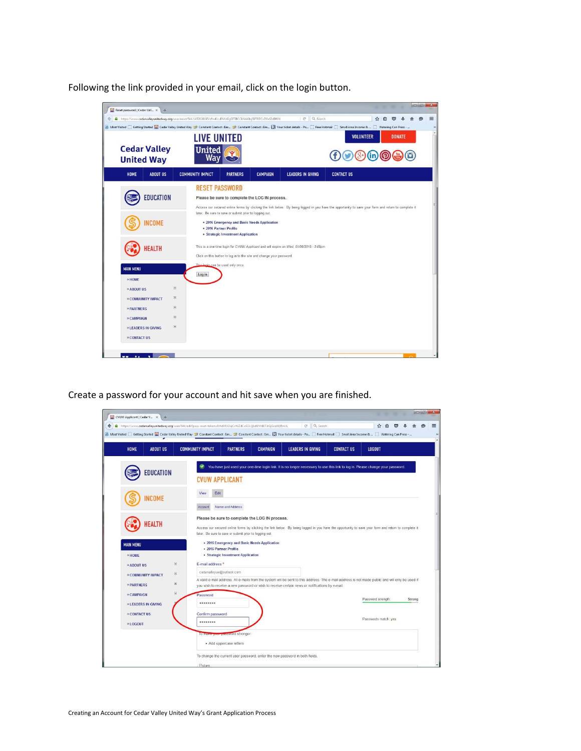Following the link provided in your email, click on the login button.



Create a password for your account and hit save when you are finished.

| CVUW Applicant   Cedar V X<br>$+$                                                                                                                                                             |                                                                                                              |                                                                                                |                                                                                                                                                     | $x = 0 + 1$ |  |  |  |  |  |  |
|-----------------------------------------------------------------------------------------------------------------------------------------------------------------------------------------------|--------------------------------------------------------------------------------------------------------------|------------------------------------------------------------------------------------------------|-----------------------------------------------------------------------------------------------------------------------------------------------------|-------------|--|--|--|--|--|--|
| C <sup>#</sup> Q Search<br>https://www.cedarvalleyunitedway.org/user/544/edit?pass-reset-token=6rhd0RX3ujCcWZdCaSGLQLdILVHI6TJrGjGcuNILRnVA<br>☆<br>≡<br>÷<br>自<br>$\bullet$                  |                                                                                                              |                                                                                                |                                                                                                                                                     |             |  |  |  |  |  |  |
| P Most Visited Getting Started C Cedar Valley United Way 2 Constant Contact: Em 2 Constant Contact: Em [3] Your ticket details - Po [ Free Hotmail Small Area Income & [ Watering Can Press - |                                                                                                              |                                                                                                |                                                                                                                                                     |             |  |  |  |  |  |  |
| <b>ABOUT US</b><br><b>HOME</b>                                                                                                                                                                | <b>COMMUNITY IMPACT</b><br><b>PARTNERS</b>                                                                   | <b>LEADERS IN GIVING</b><br><b>CAMPAIGN</b>                                                    | <b>CONTACT US</b><br><b>LOGOUT</b>                                                                                                                  |             |  |  |  |  |  |  |
| <b>EDUCATION</b>                                                                                                                                                                              | <b>CVUW APPLICANT</b>                                                                                        |                                                                                                | You have just used your one-time login link. It is no longer necessary to use this link to log in. Please change your password.                     |             |  |  |  |  |  |  |
| <b>NCOME</b>                                                                                                                                                                                  | Edit<br>View<br>Account<br>Name and Address                                                                  |                                                                                                |                                                                                                                                                     |             |  |  |  |  |  |  |
| HEALTH                                                                                                                                                                                        | Please be sure to complete the LOG IN process.<br>later. Be sure to save or submit prior to logging out.     |                                                                                                | Access our secured online forms by clicking the link below. By being logged in you have the opportunity to save your form and return to complete it |             |  |  |  |  |  |  |
| <b>MAIN MENU</b><br>» HOME                                                                                                                                                                    | . 2016 Emergency and Basic Needs Application<br>· 2016 Partner Profile<br>· Strategic Investment Application |                                                                                                |                                                                                                                                                     |             |  |  |  |  |  |  |
| $\overline{\bullet}$<br>» ABOUT US                                                                                                                                                            | E-mail address <sup>*</sup>                                                                                  |                                                                                                |                                                                                                                                                     |             |  |  |  |  |  |  |
| $\boxplus$<br>» COMMUNITY IMPACT                                                                                                                                                              | cedarvalleyuw@outlook.com                                                                                    |                                                                                                |                                                                                                                                                     |             |  |  |  |  |  |  |
| $\boxed{\pm}$<br>» PARTNERS                                                                                                                                                                   |                                                                                                              | you wish to receive a new password or wish to receive certain news or notifications by e-mail. | A valid e-mail address. All e-mails from the system will be sent to this address. The e-mail address is not made public and will only be used if    |             |  |  |  |  |  |  |
| $\boxed{\bullet}$<br>» CAMPAIGN<br>» LEADERS IN GIVING                                                                                                                                        | Password<br>                                                                                                 |                                                                                                | Password strength:                                                                                                                                  | Strong      |  |  |  |  |  |  |
| » CONTACT US<br>» LOGOUT                                                                                                                                                                      | Confirm password<br>                                                                                         |                                                                                                | Passwords match: yes                                                                                                                                |             |  |  |  |  |  |  |
|                                                                                                                                                                                               | To make your password stronger.<br>· Add uppercase letters                                                   |                                                                                                |                                                                                                                                                     |             |  |  |  |  |  |  |
|                                                                                                                                                                                               | To change the current user password, enter the new password in both fields.<br>Picture                       |                                                                                                |                                                                                                                                                     |             |  |  |  |  |  |  |